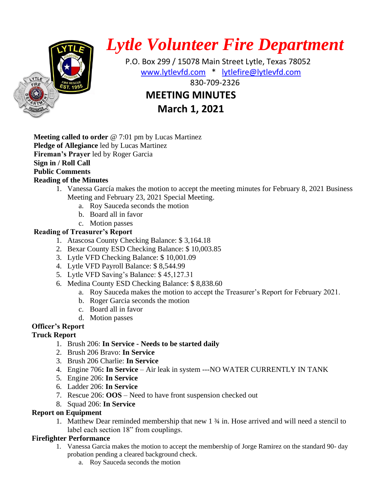

# *Lytle Volunteer Fire Department*

 P.O. Box 299 / 15078 Main Street Lytle, Texas 78052 [www.lytlevfd.com](http://www.lytlevfd.com/) \* [lytlefire@lytlevfd.com](mailto:lytlefire@lytlevfd.com) **EIRE ALSO STREAKSOUS 1999-2326 MEETING MINUTES**

**March 1, 2021**

**Meeting called to order** @ 7:01 pm by Lucas Martinez **Pledge of Allegiance** led by Lucas Martinez **Fireman's Prayer** led by Roger Garcia **Sign in / Roll Call Public Comments Reading of the Minutes**

- 1. Vanessa García makes the motion to accept the meeting minutes for February 8, 2021 Business Meeting and February 23, 2021 Special Meeting.
	- a. Roy Sauceda seconds the motion
	- b. Board all in favor
	- c. Motion passes

#### **Reading of Treasurer's Report**

- 1. Atascosa County Checking Balance: \$ 3,164.18
- 2. Bexar County ESD Checking Balance: \$ 10,003.85
- 3. Lytle VFD Checking Balance: \$ 10,001.09
- 4. Lytle VFD Payroll Balance: \$ 8,544.99
- 5. Lytle VFD Saving's Balance: \$ 45,127.31
- 6. Medina County ESD Checking Balance: \$ 8,838.60
	- a. Roy Sauceda makes the motion to accept the Treasurer's Report for February 2021.
	- b. Roger Garcia seconds the motion
	- c. Board all in favor
	- d. Motion passes

# **Officer's Report**

# **Truck Report**

- 1. Brush 206: **In Service - Needs to be started daily**
- 2. Brush 206 Bravo: **In Service**
- 3. Brush 206 Charlie: **In Service**
- 4. Engine 706**: In Service**  Air leak in system ---NO WATER CURRENTLY IN TANK
- 5. Engine 206: **In Service**
- 6. Ladder 206: **In Service**
- 7. Rescue 206: **OOS**  Need to have front suspension checked out
- 8. Squad 206: **In Service**

#### **Report on Equipment**

1. Matthew Dear reminded membership that new 1 ¾ in. Hose arrived and will need a stencil to label each section 18" from couplings.

# **Firefighter Performance**

- 1. Vanessa Garcia makes the motion to accept the membership of Jorge Ramirez on the standard 90- day probation pending a cleared background check.
	- a. Roy Sauceda seconds the motion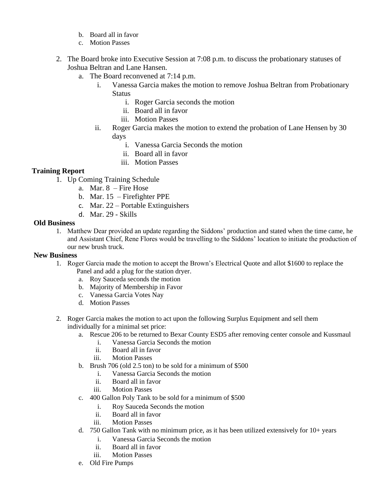- b. Board all in favor
- c. Motion Passes
- 2. The Board broke into Executive Session at 7:08 p.m. to discuss the probationary statuses of Joshua Beltran and Lane Hansen.
	- a. The Board reconvened at 7:14 p.m.
		- i. Vanessa Garcia makes the motion to remove Joshua Beltran from Probationary **Status** 
			- i. Roger Garcia seconds the motion
			- ii. Board all in favor
			- iii. Motion Passes
		- ii. Roger Garcia makes the motion to extend the probation of Lane Hensen by 30 days
			- i. Vanessa Garcia Seconds the motion
			- ii. Board all in favor
			- iii. Motion Passes

#### **Training Report**

- 1. Up Coming Training Schedule
	- a. Mar. 8 Fire Hose
	- b. Mar. 15 Firefighter PPE
	- c. Mar. 22 Portable Extinguishers
	- d. Mar. 29 Skills

#### **Old Business**

1. Matthew Dear provided an update regarding the Siddons' production and stated when the time came, he and Assistant Chief, Rene Flores would be travelling to the Siddons' location to initiate the production of our new brush truck.

#### **New Business**

- 1. Roger Garcia made the motion to accept the Brown's Electrical Quote and allot \$1600 to replace the Panel and add a plug for the station dryer.
	- a. Roy Sauceda seconds the motion
	- b. Majority of Membership in Favor
	- c. Vanessa Garcia Votes Nay
	- d. Motion Passes
- 2. Roger Garcia makes the motion to act upon the following Surplus Equipment and sell them individually for a minimal set price:
	- a. Rescue 206 to be returned to Bexar County ESD5 after removing center console and Kussmaul
		- i. Vanessa Garcia Seconds the motion
		- ii. Board all in favor
		- iii. Motion Passes
	- b. Brush 706 (old 2.5 ton) to be sold for a minimum of \$500
		- i. Vanessa Garcia Seconds the motion
		- ii. Board all in favor
		- iii. Motion Passes
	- c. 400 Gallon Poly Tank to be sold for a minimum of \$500
		- i. Roy Sauceda Seconds the motion
		- ii. Board all in favor
		- iii. Motion Passes
	- d. 750 Gallon Tank with no minimum price, as it has been utilized extensively for 10+ years
		- i. Vanessa Garcia Seconds the motion
		- ii. Board all in favor
		- iii. Motion Passes
	- e. Old Fire Pumps